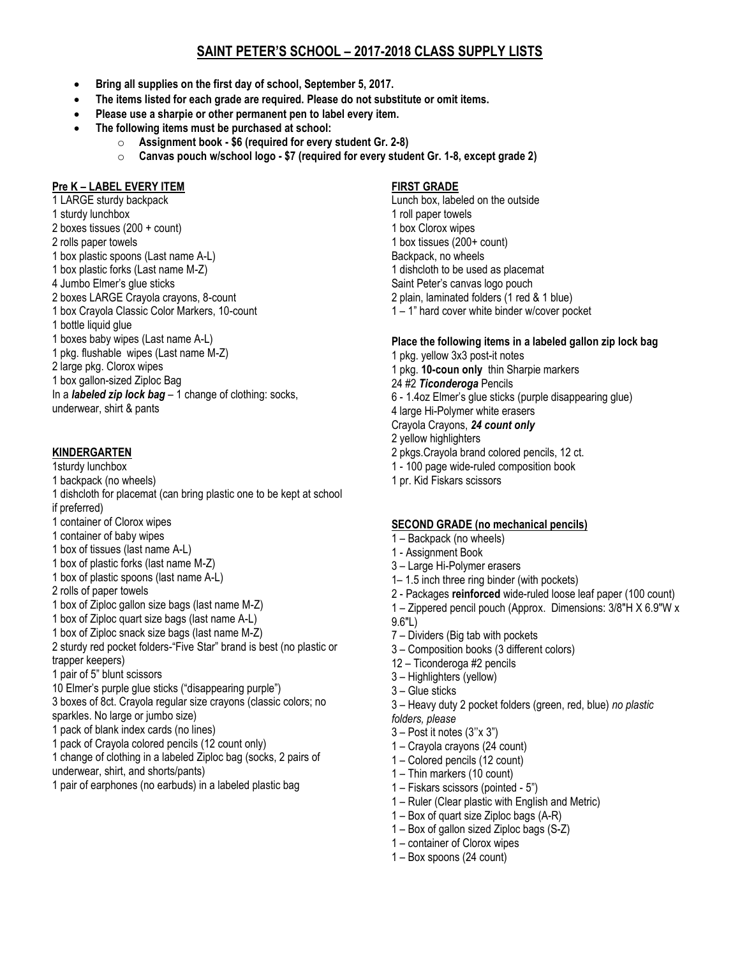# **SAINT PETER'S SCHOOL – 2017-2018 CLASS SUPPLY LISTS**

- **Bring all supplies on the first day of school, September 5, 2017.**
- **The items listed for each grade are required. Please do not substitute or omit items.**
- **Please use a sharpie or other permanent pen to label every item.**
- **The following items must be purchased at school:** 
	- o **Assignment book - \$6 (required for every student Gr. 2-8)**
	- o **Canvas pouch w/school logo - \$7 (required for every student Gr. 1-8, except grade 2)**

# **Pre K – LABEL EVERY ITEM**

- 1 LARGE sturdy backpack
- 1 sturdy lunchbox
- 2 boxes tissues (200 + count)
- 2 rolls paper towels
- 1 box plastic spoons (Last name A-L)
- 1 box plastic forks (Last name M-Z)
- 4 Jumbo Elmer's glue sticks
- 2 boxes LARGE Crayola crayons, 8-count
- 1 box Crayola Classic Color Markers, 10-count
- 1 bottle liquid glue
- 1 boxes baby wipes (Last name A-L)
- 1 pkg. flushable wipes (Last name M-Z)
- 2 large pkg. Clorox wipes
- 1 box gallon-sized Ziploc Bag
- In a *labeled zip lock bag* 1 change of clothing: socks, underwear, shirt & pants

## **KINDERGARTEN**

- 1sturdy lunchbox
- 1 backpack (no wheels)
- 1 dishcloth for placemat (can bring plastic one to be kept at school
- if preferred)
- 1 container of Clorox wipes
- 1 container of baby wipes
- 1 box of tissues (last name A-L)
- 1 box of plastic forks (last name M-Z)
- 1 box of plastic spoons (last name A-L)
- 2 rolls of paper towels
- 1 box of Ziploc gallon size bags (last name M-Z)
- 1 box of Ziploc quart size bags (last name A-L)
- 1 box of Ziploc snack size bags (last name M-Z)
- 2 sturdy red pocket folders-"Five Star" brand is best (no plastic or trapper keepers)
- 1 pair of 5" blunt scissors
- 10 Elmer's purple glue sticks ("disappearing purple")
- 3 boxes of 8ct. Crayola regular size crayons (classic colors; no sparkles. No large or jumbo size)
- 1 pack of blank index cards (no lines)
- 1 pack of Crayola colored pencils (12 count only)
- 1 change of clothing in a labeled Ziploc bag (socks, 2 pairs of underwear, shirt, and shorts/pants)
- 1 pair of earphones (no earbuds) in a labeled plastic bag

## **FIRST GRADE**

Lunch box, labeled on the outside 1 roll paper towels 1 box Clorox wipes 1 box tissues (200+ count) Backpack, no wheels 1 dishcloth to be used as placemat Saint Peter's canvas logo pouch 2 plain, laminated folders (1 red & 1 blue) 1 – 1" hard cover white binder w/cover pocket

# **Place the following items in a labeled gallon zip lock bag**

1 pkg. yellow 3x3 post-it notes 1 pkg. **10-coun only** thin Sharpie markers 24 #2 *Ticonderoga* Pencils 6 - 1.4oz Elmer's glue sticks (purple disappearing glue) 4 large Hi-Polymer white erasers Crayola Crayons, *24 count only* 2 yellow highlighters 2 pkgs.Crayola brand colored pencils, 12 ct. 1 - 100 page wide-ruled composition book 1 pr. Kid Fiskars scissors

# **SECOND GRADE (no mechanical pencils)**

- 1 Backpack (no wheels)
- 1 Assignment Book
- 3 Large Hi-Polymer erasers
- 1– 1.5 inch three ring binder (with pockets)
- 2 Packages **reinforced** wide-ruled loose leaf paper (100 count)
- 1 Zippered pencil pouch (Approx. Dimensions: 3/8"H X 6.9"W x
- 9.6"L)
- 7 Dividers (Big tab with pockets
- 3 Composition books (3 different colors)
- 12 Ticonderoga #2 pencils
- 3 Highlighters (yellow)
- 3 Glue sticks
- 3 Heavy duty 2 pocket folders (green, red, blue) *no plastic*
- *folders, please*
- 3 Post it notes (3''x 3")
- 1 Crayola crayons (24 count)
- 1 Colored pencils (12 count)
- 1 Thin markers (10 count)
- 1 Fiskars scissors (pointed 5")
- 1 Ruler (Clear plastic with English and Metric)
- 1 Box of quart size Ziploc bags (A-R)
- 1 Box of gallon sized Ziploc bags (S-Z)
- 1 container of Clorox wipes
- 1 Box spoons (24 count)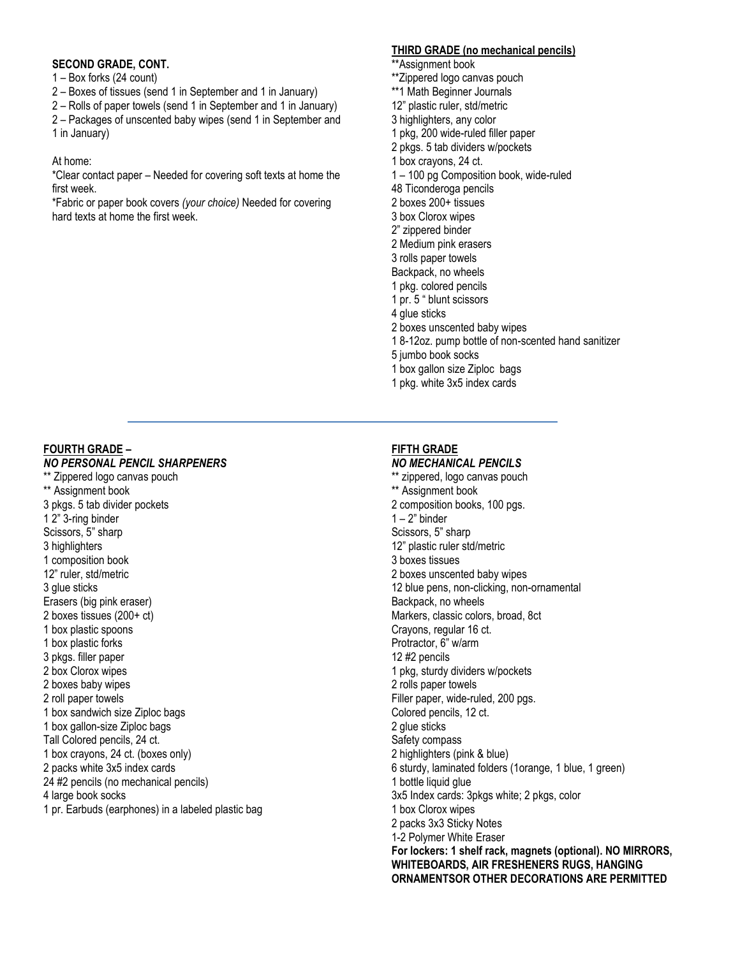## **SECOND GRADE, CONT.**

1 – Box forks (24 count)

- 2 Boxes of tissues (send 1 in September and 1 in January)
- 2 Rolls of paper towels (send 1 in September and 1 in January)

2 – Packages of unscented baby wipes (send 1 in September and 1 in January)

## At home:

\*Clear contact paper – Needed for covering soft texts at home the first week.

\*Fabric or paper book covers *(your choice)* Needed for covering hard texts at home the first week.

# **THIRD GRADE (no mechanical pencils)**

- \*\*Assignment book
- \*\*Zippered logo canvas pouch
- \*\*1 Math Beginner Journals
- 12" plastic ruler, std/metric
- 3 highlighters, any color
- 1 pkg, 200 wide-ruled filler paper
- 2 pkgs. 5 tab dividers w/pockets
- 1 box crayons, 24 ct.
- 1 100 pg Composition book, wide-ruled
- 48 Ticonderoga pencils 2 boxes 200+ tissues
- 3 box Clorox wipes
- 2" zippered binder
- 2 Medium pink erasers
- 3 rolls paper towels
- Backpack, no wheels
- 1 pkg. colored pencils
- 1 pr. 5 " blunt scissors
- 4 glue sticks
- 2 boxes unscented baby wipes
- 1 8-12oz. pump bottle of non-scented hand sanitizer
- 5 jumbo book socks
- 1 box gallon size Ziploc bags
- 1 pkg. white 3x5 index cards

## **FOURTH GRADE –**

#### *NO PERSONAL PENCIL SHARPENERS*

\*\* Zippered logo canvas pouch \*\* Assignment book 3 pkgs. 5 tab divider pockets 1 2" 3-ring binder Scissors, 5" sharp 3 highlighters 1 composition book 12" ruler, std/metric 3 glue sticks Erasers (big pink eraser) 2 boxes tissues (200+ ct) 1 box plastic spoons 1 box plastic forks 3 pkgs. filler paper 2 box Clorox wipes 2 boxes baby wipes 2 roll paper towels 1 box sandwich size Ziploc bags 1 box gallon-size Ziploc bags Tall Colored pencils, 24 ct. 1 box crayons, 24 ct. (boxes only) 2 packs white 3x5 index cards 24 #2 pencils (no mechanical pencils) 4 large book socks 1 pr. Earbuds (earphones) in a labeled plastic bag

## **FIFTH GRADE**

#### *NO MECHANICAL PENCILS*

\*\* zippered, logo canvas pouch \*\* Assignment book 2 composition books, 100 pgs.  $1 - 2$ " binder Scissors, 5" sharp 12" plastic ruler std/metric 3 boxes tissues 2 boxes unscented baby wipes 12 blue pens, non-clicking, non-ornamental Backpack, no wheels Markers, classic colors, broad, 8ct Crayons, regular 16 ct. Protractor, 6" w/arm 12 #2 pencils 1 pkg, sturdy dividers w/pockets 2 rolls paper towels Filler paper, wide-ruled, 200 pgs. Colored pencils, 12 ct. 2 glue sticks Safety compass 2 highlighters (pink & blue) 6 sturdy, laminated folders (1orange, 1 blue, 1 green) 1 bottle liquid glue 3x5 Index cards: 3pkgs white; 2 pkgs, color 1 box Clorox wipes 2 packs 3x3 Sticky Notes 1-2 Polymer White Eraser **For lockers: 1 shelf rack, magnets (optional). NO MIRRORS, WHITEBOARDS, AIR FRESHENERS RUGS, HANGING ORNAMENTSOR OTHER DECORATIONS ARE PERMITTED**